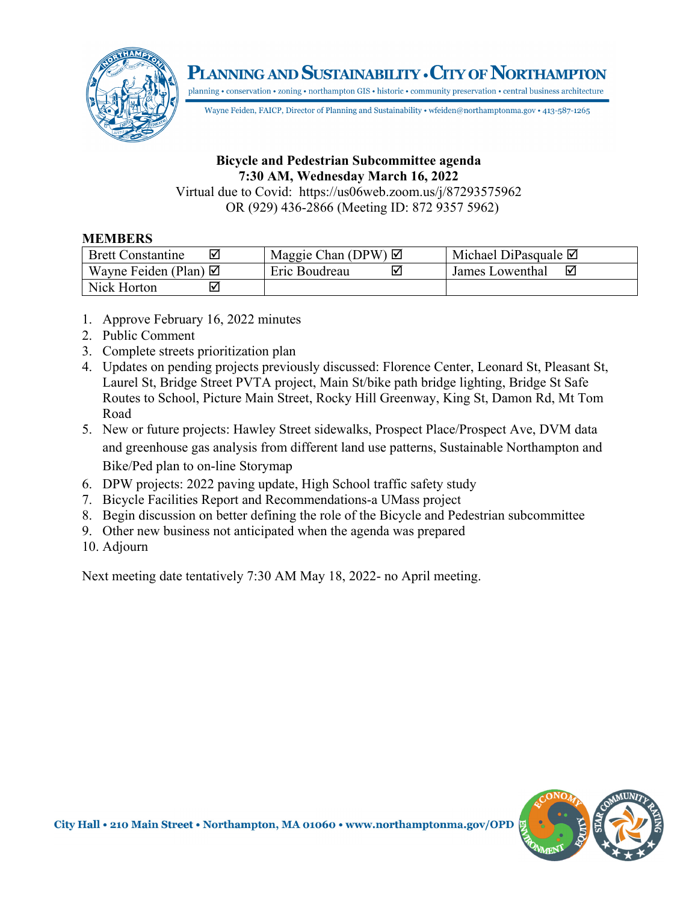PLANNING AND SUSTAINABILITY • CITY OF NORTHAMPTON



planning • conservation • zoning • northampton GIS • historic • community preservation • central business architecture Wayne Feiden, FAICP, Director of Planning and Sustainability • wfeiden@northamptonma.gov • 413-587-1265

## **Bicycle and Pedestrian Subcommittee agenda 7:30 AM, Wednesday March 16, 2022**

Virtual due to Covid: https://us06web.zoom.us/j/87293575962 OR (929) 436-2866 (Meeting ID: 872 9357 5962)

## **MEMBERS**

| <b>Brett Constantine</b><br>⋈   | Maggie Chan (DPW) $\boxtimes$ | Michael DiPasquale $\boxtimes$ |
|---------------------------------|-------------------------------|--------------------------------|
| Wayne Feiden (Plan) $\boxtimes$ | Eric Boudreau                 | ☑<br>James Lowenthal           |
| Nick Horton                     |                               |                                |

- 1. Approve February 16, 2022 minutes
- 2. Public Comment
- 3. Complete streets prioritization plan
- 4. Updates on pending projects previously discussed: Florence Center, Leonard St, Pleasant St, Laurel St, Bridge Street PVTA project, Main St/bike path bridge lighting, Bridge St Safe Routes to School, Picture Main Street, Rocky Hill Greenway, King St, Damon Rd, Mt Tom Road
- 5. New or future projects: Hawley Street sidewalks, Prospect Place/Prospect Ave, DVM data and greenhouse gas analysis from different land use patterns, Sustainable Northampton and Bike/Ped plan to on-line Storymap
- 6. DPW projects: 2022 paving update, High School traffic safety study
- 7. Bicycle Facilities Report and Recommendations-a UMass project
- 8. Begin discussion on better defining the role of the Bicycle and Pedestrian subcommittee
- 9. Other new business not anticipated when the agenda was prepared
- 10. Adjourn

Next meeting date tentatively 7:30 AM May 18, 2022- no April meeting.